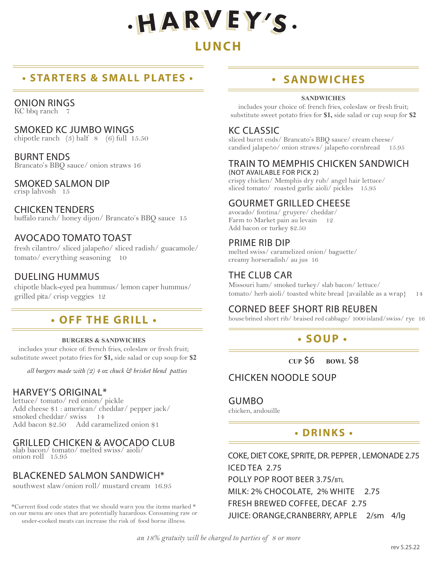

# **LUNCH**

# **• STARTERS & SMALL PLATES •**

#### ONION RINGS

KC bbq ranch 7

#### SMOKED KC JUMBO WINGS

chipotle ranch  $(3)$  half  $(6)$  full  $15.50$ 

BURNT ENDS Brancato's BBQ sauce/ onion straws 16

### SMOKED SALMON DIP

crisp lahvosh 15

CHICKEN TENDERS buffalo ranch/ honey dijon/ Brancato's BBQ sauce 15

### AVOCADO TOMATO TOAST

fresh cilantro/ sliced jalapeño/ sliced radish/ guacamole/ tomato/ everything seasoning 10

### DUELING HUMMUS

chipotle black-eyed pea hummus/ lemon caper hummus/ grilled pita/ crisp veggies 12

# **• OFF THE GRILL •**

#### **BURGERS & SANDWICHES**

includes your choice of: french fries, coleslaw or fresh fruit; substitute sweet potato fries for **\$1,** side salad or cup soup for **\$2**

*all burgers made with (2) 4 oz chuck & brisket blend patties*

### HARVEY'S ORIGINAL\*

lettuce/ tomato/ red onion/ pickle Add cheese \$1 : american/ cheddar/ pepper jack/ smoked cheddar/ swiss 14 Add bacon \$2.50 Add caramelized onion \$1

### GRILLED CHICKEN & AVOCADO CLUB

slab bacon/ tomato/ melted swiss/ aioli/ onion roll 15.95

### BLACKENED SALMON SANDWICH\*

southwest slaw/onion roll/ mustard cream 16.95

\*Current food code states that we should warn you the items marked \* on our menu are ones that are potentially hazardous. Consuming raw or under-cooked meats can increase the risk of food borne illness.

# **• SANDWICHES**

#### **SANDWICHES**

includes your choice of: french fries, coleslaw or fresh fruit; substitute sweet potato fries for **\$1,** side salad or cup soup for **\$2**

### KC CLASSIC

sliced burnt ends/ Brancato's BBQ sauce/ cream cheese/ candied jalapeño/ onion straws/ jalapeño cornbread 15.95

#### TRAIN TO MEMPHIS CHICKEN SANDWICH (NOT AVAILABLE FOR PICK 2)

crispy chicken/ Memphis dry rub/ angel hair lettuce/ sliced tomato/ roasted garlic aioli/ pickles 15.95

## GOURMET GRILLED CHEESE

avocado/ fontina/ gruyere/ cheddar/ Farm to Market pain au levain 12 Add bacon or turkey \$2.50

## PRIME RIB DIP

melted swiss/ caramelized onion/ baguette/ creamy horseradish/ au jus 16

# THE CLUB CAR

Missouri ham/ smoked turkey/ slab bacon/ lettuce/ tomato/ herb aioli/ toasted white bread {available as a wrap} 14

## CORNED BEEF SHORT RIB REUBEN

house brined short rib/ braised red cabbage/ 1000 island/swiss/ rye 16

# **• SOUP •**

**CUP** \$6 **BOWL** \$8

### CHICKEN NOODLE SOUP

GUMBO

chicken, andouille

## **• DRINKS •**

COKE, DIET COKE, SPRITE, DR. PEPPER , LEMONADE 2.75 ICED TEA 2.75 POLLY POP ROOT BEER 3.75/btl MILK: 2% CHOCOLATE, 2% WHITE 2.75 FRESH BREWED COFFEE, DECAF 2.75 JUICE: ORANGE,CRANBERRY, APPLE 2/sm 4/lg